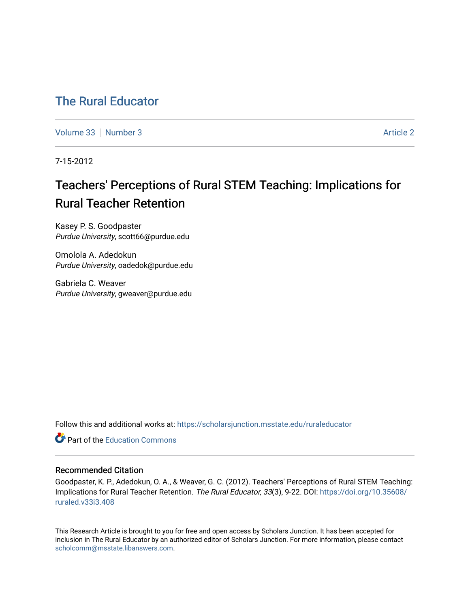## [The Rural Educator](https://scholarsjunction.msstate.edu/ruraleducator)

[Volume 33](https://scholarsjunction.msstate.edu/ruraleducator/vol33) [Number 3](https://scholarsjunction.msstate.edu/ruraleducator/vol33/iss3) [Article 2](https://scholarsjunction.msstate.edu/ruraleducator/vol33/iss3/2) Article 2 Article 2 Article 2 Article 2 Article 2 Article 2

7-15-2012

# Teachers' Perceptions of Rural STEM Teaching: Implications for Rural Teacher Retention

Kasey P. S. Goodpaster Purdue University, scott66@purdue.edu

Omolola A. Adedokun Purdue University, oadedok@purdue.edu

Gabriela C. Weaver Purdue University, gweaver@purdue.edu

Follow this and additional works at: [https://scholarsjunction.msstate.edu/ruraleducator](https://scholarsjunction.msstate.edu/ruraleducator?utm_source=scholarsjunction.msstate.edu%2Fruraleducator%2Fvol33%2Fiss3%2F2&utm_medium=PDF&utm_campaign=PDFCoverPages)

**C** Part of the [Education Commons](http://network.bepress.com/hgg/discipline/784?utm_source=scholarsjunction.msstate.edu%2Fruraleducator%2Fvol33%2Fiss3%2F2&utm_medium=PDF&utm_campaign=PDFCoverPages)

## Recommended Citation

Goodpaster, K. P., Adedokun, O. A., & Weaver, G. C. (2012). Teachers' Perceptions of Rural STEM Teaching: Implications for Rural Teacher Retention. The Rural Educator, 33(3), 9-22. DOI: [https://doi.org/10.35608/](https://doi.org/10.35608/ruraled.v33i3.408) [ruraled.v33i3.408](https://doi.org/10.35608/ruraled.v33i3.408)

This Research Article is brought to you for free and open access by Scholars Junction. It has been accepted for inclusion in The Rural Educator by an authorized editor of Scholars Junction. For more information, please contact [scholcomm@msstate.libanswers.com.](mailto:scholcomm@msstate.libanswers.com)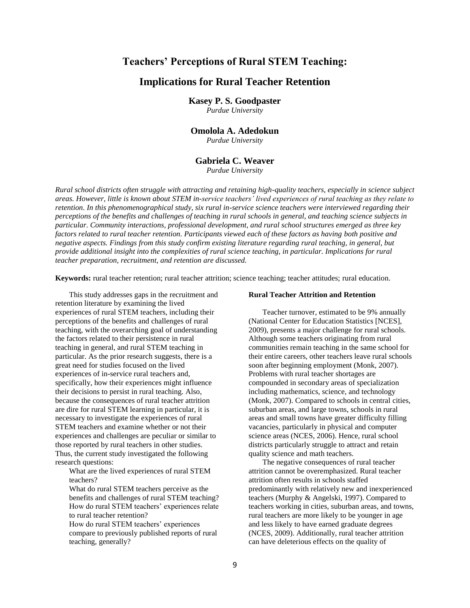## **Teachers' Perceptions of Rural STEM Teaching:**

## **Implications for Rural Teacher Retention**

**Kasey P. S. Goodpaster** 

*Purdue University*

## **Omolola A. Adedokun**

*Purdue University*

## **Gabriela C. Weaver**

*Purdue University*

*Rural school districts often struggle with attracting and retaining high-quality teachers, especially in science subject areas. However, little is known about STEM in-service teachers' lived experiences of rural teaching as they relate to retention. In this phenomenographical study, six rural in-service science teachers were interviewed regarding their perceptions of the benefits and challenges of teaching in rural schools in general, and teaching science subjects in particular. Community interactions, professional development, and rural school structures emerged as three key factors related to rural teacher retention. Participants viewed each of these factors as having both positive and negative aspects. Findings from this study confirm existing literature regarding rural teaching, in general, but provide additional insight into the complexities of rural science teaching, in particular. Implications for rural teacher preparation, recruitment, and retention are discussed.*

**Keywords:** rural teacher retention; rural teacher attrition; science teaching; teacher attitudes; rural education.

This study addresses gaps in the recruitment and retention literature by examining the lived experiences of rural STEM teachers, including their perceptions of the benefits and challenges of rural teaching, with the overarching goal of understanding the factors related to their persistence in rural teaching in general, and rural STEM teaching in particular. As the prior research suggests, there is a great need for studies focused on the lived experiences of in-service rural teachers and, specifically, how their experiences might influence their decisions to persist in rural teaching. Also, because the consequences of rural teacher attrition are dire for rural STEM learning in particular, it is necessary to investigate the experiences of rural STEM teachers and examine whether or not their experiences and challenges are peculiar or similar to those reported by rural teachers in other studies. Thus, the current study investigated the following research questions:

What are the lived experiences of rural STEM teachers?

What do rural STEM teachers perceive as the benefits and challenges of rural STEM teaching? How do rural STEM teachers' experiences relate to rural teacher retention?

How do rural STEM teachers' experiences compare to previously published reports of rural teaching, generally?

#### **Rural Teacher Attrition and Retention**

Teacher turnover, estimated to be 9% annually (National Center for Education Statistics [NCES], 2009), presents a major challenge for rural schools. Although some teachers originating from rural communities remain teaching in the same school for their entire careers, other teachers leave rural schools soon after beginning employment (Monk, 2007). Problems with rural teacher shortages are compounded in secondary areas of specialization including mathematics, science, and technology (Monk, 2007). Compared to schools in central cities, suburban areas, and large towns, schools in rural areas and small towns have greater difficulty filling vacancies, particularly in physical and computer science areas (NCES, 2006). Hence, rural school districts particularly struggle to attract and retain quality science and math teachers.

The negative consequences of rural teacher attrition cannot be overemphasized. Rural teacher attrition often results in schools staffed predominantly with relatively new and inexperienced teachers (Murphy & Angelski, 1997). Compared to teachers working in cities, suburban areas, and towns, rural teachers are more likely to be younger in age and less likely to have earned graduate degrees (NCES, 2009). Additionally, rural teacher attrition can have deleterious effects on the quality of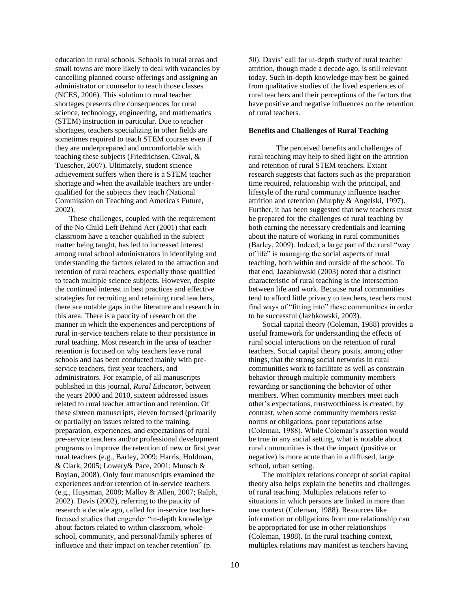education in rural schools. Schools in rural areas and small towns are more likely to deal with vacancies by cancelling planned course offerings and assigning an administrator or counselor to teach those classes (NCES, 2006). This solution to rural teacher shortages presents dire consequences for rural science, technology, engineering, and mathematics (STEM) instruction in particular. Due to teacher shortages, teachers specializing in other fields are sometimes required to teach STEM courses even if they are underprepared and uncomfortable with teaching these subjects (Friedrichsen, Chval, & Tuescher, 2007). Ultimately, student science achievement suffers when there is a STEM teacher shortage and when the available teachers are underqualified for the subjects they teach (National Commission on Teaching and America's Future, 2002).

These challenges, coupled with the requirement of the No Child Left Behind Act (2001) that each classroom have a teacher qualified in the subject matter being taught, has led to increased interest among rural school administrators in identifying and understanding the factors related to the attraction and retention of rural teachers, especially those qualified to teach multiple science subjects. However, despite the continued interest in best practices and effective strategies for recruiting and retaining rural teachers, there are notable gaps in the literature and research in this area. There is a paucity of research on the manner in which the experiences and perceptions of rural in-service teachers relate to their persistence in rural teaching. Most research in the area of teacher retention is focused on why teachers leave rural schools and has been conducted mainly with preservice teachers, first year teachers, and administrators. For example, of all manuscripts published in this journal, *Rural Educator,* between the years 2000 and 2010, sixteen addressed issues related to rural teacher attraction and retention. Of these sixteen manuscripts, eleven focused (primarily or partially) on issues related to the training, preparation, experiences, and expectations of rural pre-service teachers and/or professional development programs to improve the retention of new or first year rural teachers (e.g., Barley, 2009; Harris, Holdman, & Clark, 2005; Lowery& Pace, 2001; Munsch & Boylan, 2008). Only four manuscripts examined the experiences and/or retention of in-service teachers (e.g., Huysman, 2008; Malloy & Allen, 2007; Ralph, 2002). Davis (2002), referring to the paucity of research a decade ago, called for in-service teacherfocused studies that engender "in-depth knowledge about factors related to within classroom, wholeschool, community, and personal/family spheres of influence and their impact on teacher retention" (p.

50). Davis' call for in-depth study of rural teacher attrition, though made a decade ago, is still relevant today. Such in-depth knowledge may best be gained from qualitative studies of the lived experiences of rural teachers and their perceptions of the factors that have positive and negative influences on the retention of rural teachers.

## **Benefits and Challenges of Rural Teaching**

The perceived benefits and challenges of rural teaching may help to shed light on the attrition and retention of rural STEM teachers. Extant research suggests that factors such as the preparation time required, relationship with the principal, and lifestyle of the rural community influence teacher attrition and retention (Murphy & Angelski, 1997). Further, it has been suggested that new teachers must be prepared for the challenges of rural teaching by both earning the necessary credentials and learning about the nature of working in rural communities (Barley, 2009). Indeed, a large part of the rural "way of life" is managing the social aspects of rural teaching, both within and outside of the school. To that end, Jazabkowski (2003) noted that a distinct characteristic of rural teaching is the intersection between life and work. Because rural communities tend to afford little privacy to teachers, teachers must find ways of "fitting into" these communities in order to be successful (Jazbkowski, 2003).

Social capital theory (Coleman, 1988) provides a useful framework for understanding the effects of rural social interactions on the retention of rural teachers. Social capital theory posits, among other things, that the strong social networks in rural communities work to facilitate as well as constrain behavior through multiple community members rewarding or sanctioning the behavior of other members. When community members meet each other's expectations, trustworthiness is created; by contrast, when some community members resist norms or obligations, poor reputations arise (Coleman, 1988). While Coleman's assertion would be true in any social setting, what is notable about rural communities is that the impact (positive or negative) is more acute than in a diffused, large school, urban setting.

The multiplex relations concept of social capital theory also helps explain the benefits and challenges of rural teaching. Multiplex relations refer to situations in which persons are linked in more than one context (Coleman, 1988). Resources like information or obligations from one relationship can be appropriated for use in other relationships (Coleman, 1988). In the rural teaching context, multiplex relations may manifest as teachers having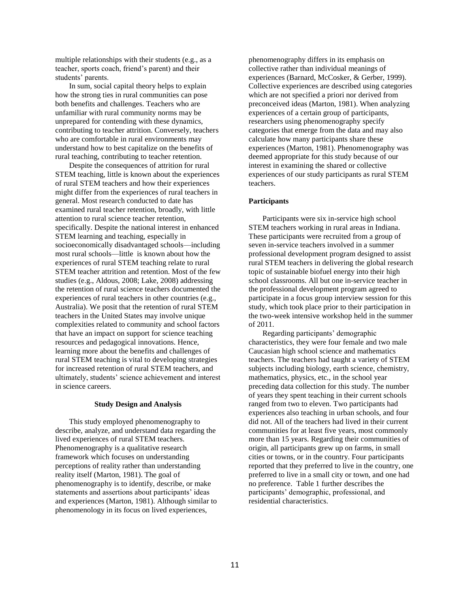multiple relationships with their students (e.g., as a teacher, sports coach, friend's parent) and their students' parents.

In sum, social capital theory helps to explain how the strong ties in rural communities can pose both benefits and challenges. Teachers who are unfamiliar with rural community norms may be unprepared for contending with these dynamics, contributing to teacher attrition. Conversely, teachers who are comfortable in rural environments may understand how to best capitalize on the benefits of rural teaching, contributing to teacher retention.

Despite the consequences of attrition for rural STEM teaching, little is known about the experiences of rural STEM teachers and how their experiences might differ from the experiences of rural teachers in general. Most research conducted to date has examined rural teacher retention, broadly, with little attention to rural science teacher retention, specifically. Despite the national interest in enhanced STEM learning and teaching, especially in socioeconomically disadvantaged schools—including most rural schools—little is known about how the experiences of rural STEM teaching relate to rural STEM teacher attrition and retention. Most of the few studies (e.g., Aldous, 2008; Lake, 2008) addressing the retention of rural science teachers documented the experiences of rural teachers in other countries (e.g., Australia). We posit that the retention of rural STEM teachers in the United States may involve unique complexities related to community and school factors that have an impact on support for science teaching resources and pedagogical innovations. Hence, learning more about the benefits and challenges of rural STEM teaching is vital to developing strategies for increased retention of rural STEM teachers, and ultimately, students' science achievement and interest in science careers.

#### **Study Design and Analysis**

This study employed phenomenography to describe, analyze, and understand data regarding the lived experiences of rural STEM teachers. Phenomenography is a qualitative research framework which focuses on understanding perceptions of reality rather than understanding reality itself (Marton, 1981). The goal of phenomenography is to identify, describe, or make statements and assertions about participants' ideas and experiences (Marton, 1981). Although similar to phenomenology in its focus on lived experiences,

phenomenography differs in its emphasis on collective rather than individual meanings of experiences (Barnard, McCosker, & Gerber, 1999). Collective experiences are described using categories which are not specified a priori nor derived from preconceived ideas (Marton, 1981). When analyzing experiences of a certain group of participants, researchers using phenomenography specify categories that emerge from the data and may also calculate how many participants share these experiences (Marton, 1981). Phenomenography was deemed appropriate for this study because of our interest in examining the shared or collective experiences of our study participants as rural STEM teachers.

#### **Participants**

Participants were six in-service high school STEM teachers working in rural areas in Indiana. These participants were recruited from a group of seven in-service teachers involved in a summer professional development program designed to assist rural STEM teachers in delivering the global research topic of sustainable biofuel energy into their high school classrooms. All but one in-service teacher in the professional development program agreed to participate in a focus group interview session for this study, which took place prior to their participation in the two-week intensive workshop held in the summer of 2011.

Regarding participants' demographic characteristics, they were four female and two male Caucasian high school science and mathematics teachers. The teachers had taught a variety of STEM subjects including biology, earth science, chemistry, mathematics, physics, etc., in the school year preceding data collection for this study. The number of years they spent teaching in their current schools ranged from two to eleven. Two participants had experiences also teaching in urban schools, and four did not. All of the teachers had lived in their current communities for at least five years, most commonly more than 15 years. Regarding their communities of origin, all participants grew up on farms, in small cities or towns, or in the country. Four participants reported that they preferred to live in the country, one preferred to live in a small city or town, and one had no preference. Table 1 further describes the participants' demographic, professional, and residential characteristics.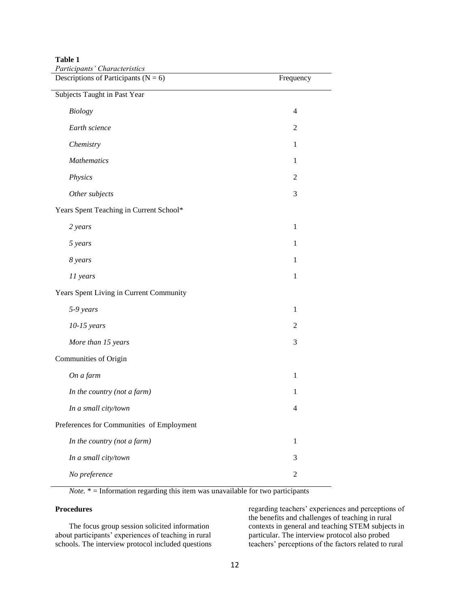**Table 1** 

| Participants' Characteristics<br>Descriptions of Participants ( $N = 6$ ) | Frequency      |
|---------------------------------------------------------------------------|----------------|
| Subjects Taught in Past Year                                              |                |
| <b>Biology</b>                                                            | $\overline{4}$ |
| Earth science                                                             | 2              |
| Chemistry                                                                 | $\mathbf{1}$   |
| <b>Mathematics</b>                                                        | $\mathbf{1}$   |
| Physics                                                                   | $\mathfrak{2}$ |
| Other subjects                                                            | 3              |
| Years Spent Teaching in Current School*                                   |                |
| 2 years                                                                   | $\mathbf{1}$   |
| 5 years                                                                   | $\mathbf{1}$   |
| 8 years                                                                   | $\mathbf{1}$   |
| 11 years                                                                  | $\mathbf 1$    |
| Years Spent Living in Current Community                                   |                |
| 5-9 years                                                                 | $\mathbf{1}$   |
| $10-15$ years                                                             | $\overline{c}$ |
| More than 15 years                                                        | 3              |
| Communities of Origin                                                     |                |
| On a farm                                                                 | $\mathbf{1}$   |
| In the country (not a farm)                                               | $\mathbf{1}$   |
| In a small city/town                                                      | 4              |
| Preferences for Communities of Employment                                 |                |
| In the country (not a farm)                                               | $\mathbf 1$    |
| In a small city/town                                                      | 3              |
| No preference                                                             | $\mathfrak{2}$ |

*Note.* \* = Information regarding this item was unavailable for two participants

## **Procedures**

The focus group session solicited information about participants' experiences of teaching in rural schools. The interview protocol included questions regarding teachers' experiences and perceptions of the benefits and challenges of teaching in rural contexts in general and teaching STEM subjects in particular. The interview protocol also probed teachers' perceptions of the factors related to rural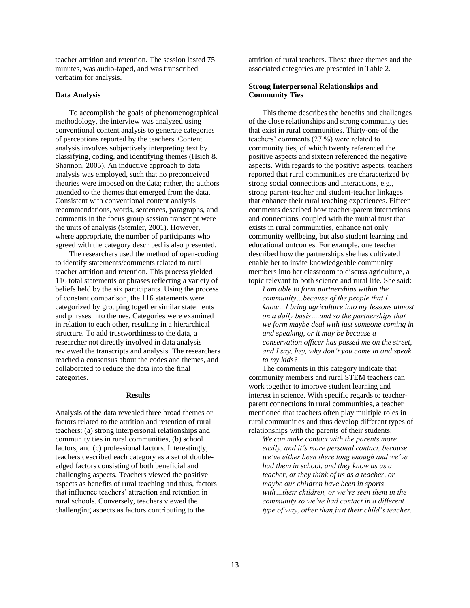teacher attrition and retention. The session lasted 75 minutes, was audio-taped, and was transcribed verbatim for analysis.

#### **Data Analysis**

To accomplish the goals of phenomenographical methodology, the interview was analyzed using conventional content analysis to generate categories of perceptions reported by the teachers. Content analysis involves subjectively interpreting text by classifying, coding, and identifying themes (Hsieh & Shannon, 2005). An inductive approach to data analysis was employed, such that no preconceived theories were imposed on the data; rather, the authors attended to the themes that emerged from the data. Consistent with conventional content analysis recommendations, words, sentences, paragraphs, and comments in the focus group session transcript were the units of analysis (Stemler, 2001). However, where appropriate, the number of participants who agreed with the category described is also presented.

The researchers used the method of open-coding to identify statements/comments related to rural teacher attrition and retention. This process yielded 116 total statements or phrases reflecting a variety of beliefs held by the six participants. Using the process of constant comparison, the 116 statements were categorized by grouping together similar statements and phrases into themes. Categories were examined in relation to each other, resulting in a hierarchical structure. To add trustworthiness to the data, a researcher not directly involved in data analysis reviewed the transcripts and analysis. The researchers reached a consensus about the codes and themes, and collaborated to reduce the data into the final categories.

#### **Results**

Analysis of the data revealed three broad themes or factors related to the attrition and retention of rural teachers: (a) strong interpersonal relationships and community ties in rural communities, (b) school factors, and (c) professional factors. Interestingly, teachers described each category as a set of doubleedged factors consisting of both beneficial and challenging aspects. Teachers viewed the positive aspects as benefits of rural teaching and thus, factors that influence teachers' attraction and retention in rural schools. Conversely, teachers viewed the challenging aspects as factors contributing to the

attrition of rural teachers. These three themes and the associated categories are presented in Table 2.

#### **Strong Interpersonal Relationships and Community Ties**

This theme describes the benefits and challenges of the close relationships and strong community ties that exist in rural communities. Thirty-one of the teachers' comments (27 %) were related to community ties, of which twenty referenced the positive aspects and sixteen referenced the negative aspects. With regards to the positive aspects, teachers reported that rural communities are characterized by strong social connections and interactions, e.g., strong parent-teacher and student-teacher linkages that enhance their rural teaching experiences. Fifteen comments described how teacher-parent interactions and connections, coupled with the mutual trust that exists in rural communities, enhance not only community wellbeing, but also student learning and educational outcomes. For example, one teacher described how the partnerships she has cultivated enable her to invite knowledgeable community members into her classroom to discuss agriculture, a topic relevant to both science and rural life. She said:

*I am able to form partnerships within the community…because of the people that I know…I bring agriculture into my lessons almost on a daily basis….and so the partnerships that we form maybe deal with just someone coming in and speaking, or it may be because a conservation officer has passed me on the street, and I say, hey, why don't you come in and speak to my kids?* 

The comments in this category indicate that community members and rural STEM teachers can work together to improve student learning and interest in science. With specific regards to teacherparent connections in rural communities, a teacher mentioned that teachers often play multiple roles in rural communities and thus develop different types of relationships with the parents of their students:

*We can make contact with the parents more easily, and it's more personal contact, because we've either been there long enough and we've had them in school, and they know us as a teacher, or they think of us as a teacher, or maybe our children have been in sports with…their children, or we've seen them in the community so we've had contact in a different type of way, other than just their child's teacher.*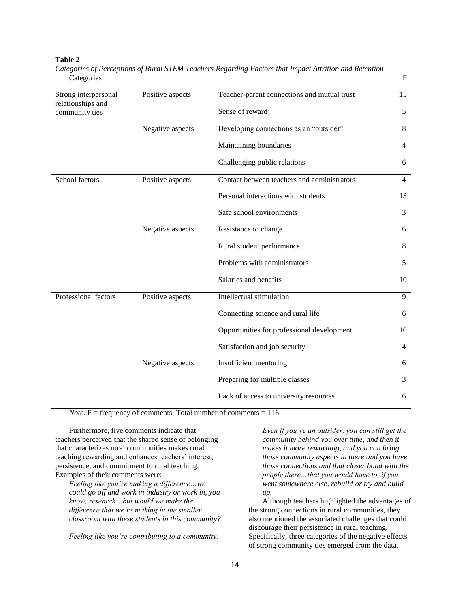| Categories                                                  |                  |                                             | $\mathbf F$    |
|-------------------------------------------------------------|------------------|---------------------------------------------|----------------|
| Strong interpersonal<br>relationships and<br>community ties | Positive aspects | Teacher-parent connections and mutual trust | 15             |
|                                                             |                  | Sense of reward                             | 5              |
|                                                             | Negative aspects | Developing connections as an "outsider"     | 8              |
|                                                             |                  | Maintaining boundaries                      | $\overline{4}$ |
|                                                             |                  | Challenging public relations                | 6              |
| School factors                                              | Positive aspects | Contact between teachers and administrators | $\overline{4}$ |
|                                                             |                  | Personal interactions with students         | 13             |
|                                                             |                  | Safe school environments                    | 3              |
|                                                             | Negative aspects | Resistance to change                        | 6              |
|                                                             |                  | Rural student performance                   | 8              |
|                                                             |                  | Problems with administrators                | 5              |
|                                                             |                  | Salaries and benefits                       | 10             |
| Professional factors                                        | Positive aspects | Intellectual stimulation                    | 9              |
|                                                             |                  | Connecting science and rural life           | 6              |
|                                                             |                  | Opportunities for professional development  | 10             |
|                                                             |                  | Satisfaction and job security               | $\overline{4}$ |
|                                                             | Negative aspects | Insufficient mentoring                      | 6              |
|                                                             |                  | Preparing for multiple classes              | 3              |
|                                                             |                  | Lack of access to university resources      | 6              |

**Table 2** *Categories of Perceptions of Rural STEM Teachers Regarding Factors that Impact Attrition and Retention*

*Note.*  $F =$  frequency of comments. Total number of comments  $= 116$ .

Furthermore, five comments indicate that teachers perceived that the shared sense of belonging that characterizes rural communities makes rural teaching rewarding and enhances teachers' interest, persistence, and commitment to rural teaching. Examples of their comments were:

*Feeling like you're making a difference…we could go off and work in industry or work in, you know, research…but would we make the difference that we're making in the smaller classroom with these students in this community?* 

*Feeling like you're contributing to a community.*

*Even if you're an outsider, you can still get the community behind you over time, and then it makes it more rewarding, and you can bring those community aspects in there and you have those connections and that closer bond with the people there…that you would have to, if you went somewhere else, rebuild or try and build up.*

Although teachers highlighted the advantages of the strong connections in rural communities, they also mentioned the associated challenges that could discourage their persistence in rural teaching. Specifically, three categories of the negative effects of strong community ties emerged from the data.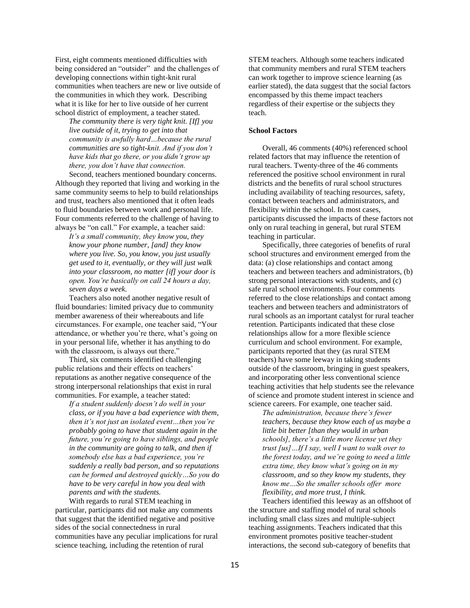First, eight comments mentioned difficulties with being considered an "outsider" and the challenges of developing connections within tight-knit rural communities when teachers are new or live outside of the communities in which they work. Describing what it is like for her to live outside of her current school district of employment, a teacher stated.

*The community there is very tight knit. [If] you live outside of it, trying to get into that community is awfully hard…because the rural communities are so tight-knit. And if you don't have kids that go there, or you didn't grow up there, you don't have that connection.*

Second, teachers mentioned boundary concerns. Although they reported that living and working in the same community seems to help to build relationships and trust, teachers also mentioned that it often leads to fluid boundaries between work and personal life. Four comments referred to the challenge of having to always be "on call." For example, a teacher said:

*It's a small community, they know you, they know your phone number, [and] they know where you live. So, you know, you just usually get used to it, eventually, or they will just walk into your classroom, no matter [if] your door is open. You're basically on call 24 hours a day, seven days a week.*

Teachers also noted another negative result of fluid boundaries: limited privacy due to community member awareness of their whereabouts and life circumstances. For example, one teacher said, "Your attendance, or whether you're there, what's going on in your personal life, whether it has anything to do with the classroom, is always out there."

Third, six comments identified challenging public relations and their effects on teachers' reputations as another negative consequence of the strong interpersonal relationships that exist in rural communities. For example, a teacher stated:

*If a student suddenly doesn't do well in your class, or if you have a bad experience with them, then it's not just an isolated event…then you're probably going to have that student again in the future, you're going to have siblings, and people in the community are going to talk, and then if somebody else has a bad experience, you're suddenly a really bad person, and so reputations can be formed and destroyed quickly…So you do have to be very careful in how you deal with parents and with the students.* 

With regards to rural STEM teaching in particular, participants did not make any comments that suggest that the identified negative and positive sides of the social connectedness in rural communities have any peculiar implications for rural science teaching, including the retention of rural

STEM teachers. Although some teachers indicated that community members and rural STEM teachers can work together to improve science learning (as earlier stated), the data suggest that the social factors encompassed by this theme impact teachers regardless of their expertise or the subjects they teach.

## **School Factors**

Overall, 46 comments (40%) referenced school related factors that may influence the retention of rural teachers. Twenty-three of the 46 comments referenced the positive school environment in rural districts and the benefits of rural school structures including availability of teaching resources, safety, contact between teachers and administrators, and flexibility within the school. In most cases, participants discussed the impacts of these factors not only on rural teaching in general, but rural STEM teaching in particular.

Specifically, three categories of benefits of rural school structures and environment emerged from the data: (a) close relationships and contact among teachers and between teachers and administrators, (b) strong personal interactions with students, and (c) safe rural school environments. Four comments referred to the close relationships and contact among teachers and between teachers and administrators of rural schools as an important catalyst for rural teacher retention. Participants indicated that these close relationships allow for a more flexible science curriculum and school environment. For example, participants reported that they (as rural STEM teachers) have some leeway in taking students outside of the classroom, bringing in guest speakers, and incorporating other less conventional science teaching activities that help students see the relevance of science and promote student interest in science and science careers. For example, one teacher said.

*The administration, because there's fewer teachers, because they know each of us maybe a little bit better [than they would in urban schools], there's a little more license yet they trust [us]…If I say, well I want to walk over to the forest today, and we're going to need a little extra time, they know what's going on in my classroom, and so they know my students, they know me…So the smaller schools offer more flexibility, and more trust, I think.*

Teachers identified this leeway as an offshoot of the structure and staffing model of rural schools including small class sizes and multiple-subject teaching assignments. Teachers indicated that this environment promotes positive teacher-student interactions, the second sub-category of benefits that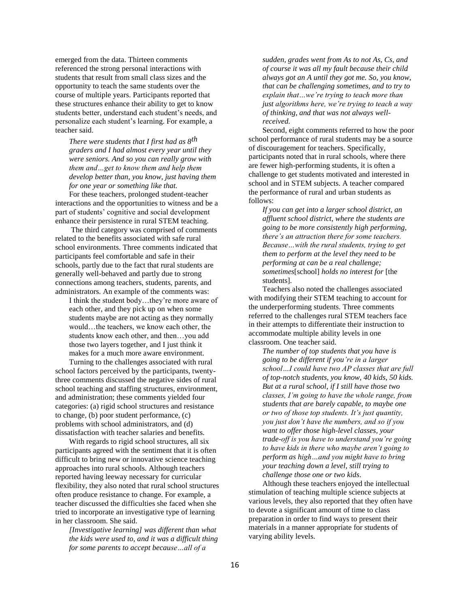emerged from the data. Thirteen comments referenced the strong personal interactions with students that result from small class sizes and the opportunity to teach the same students over the course of multiple years. Participants reported that these structures enhance their ability to get to know students better, understand each student's needs, and personalize each student's learning. For example, a teacher said.

*There were students that I first had as 8th graders and I had almost every year until they were seniors. And so you can really grow with them and…get to know them and help them develop better than, you know, just having them for one year or something like that.*

For these teachers, prolonged student-teacher interactions and the opportunities to witness and be a part of students' cognitive and social development enhance their persistence in rural STEM teaching.

The third category was comprised of comments related to the benefits associated with safe rural school environments. Three comments indicated that participants feel comfortable and safe in their schools, partly due to the fact that rural students are generally well-behaved and partly due to strong connections among teachers, students, parents, and administrators. An example of the comments was:

I think the student body…they're more aware of each other, and they pick up on when some students maybe are not acting as they normally would…the teachers, we know each other, the students know each other, and then…you add those two layers together, and I just think it makes for a much more aware environment.

Turning to the challenges associated with rural school factors perceived by the participants, twentythree comments discussed the negative sides of rural school teaching and staffing structures, environment, and administration; these comments yielded four categories: (a) rigid school structures and resistance to change, (b) poor student performance, (c) problems with school administrators, and (d) dissatisfaction with teacher salaries and benefits.

With regards to rigid school structures, all six participants agreed with the sentiment that it is often difficult to bring new or innovative science teaching approaches into rural schools. Although teachers reported having leeway necessary for curricular flexibility, they also noted that rural school structures often produce resistance to change. For example, a teacher discussed the difficulties she faced when she tried to incorporate an investigative type of learning in her classroom. She said.

*[Investigative learning] was different than what the kids were used to, and it was a difficult thing for some parents to accept because…all of a* 

*sudden, grades went from As to not As, Cs, and of course it was all my fault because their child always got an A until they got me. So, you know, that can be challenging sometimes, and to try to explain that…we're trying to teach more than just algorithms here, we're trying to teach a way of thinking, and that was not always wellreceived.*

Second, eight comments referred to how the poor school performance of rural students may be a source of discouragement for teachers. Specifically, participants noted that in rural schools, where there are fewer high-performing students, it is often a challenge to get students motivated and interested in school and in STEM subjects. A teacher compared the performance of rural and urban students as follows:

*If you can get into a larger school district, an affluent school district, where the students are going to be more consistently high performing, there's an attraction there for some teachers. Because…with the rural students, trying to get them to perform at the level they need to be performing at can be a real challenge; sometimes*[school] *holds no interest for* [the students].

Teachers also noted the challenges associated with modifying their STEM teaching to account for the underperforming students. Three comments referred to the challenges rural STEM teachers face in their attempts to differentiate their instruction to accommodate multiple ability levels in one classroom. One teacher said.

*The number of top students that you have is going to be different if you're in a larger school…I could have two AP classes that are full of top-notch students, you know, 40 kids, 50 kids. But at a rural school, if I still have those two classes, I'm going to have the whole range, from students that are barely capable, to maybe one or two of those top students. It's just quantity, you just don't have the numbers, and so if you want to offer those high-level classes, your trade-off is you have to understand you're going to have kids in there who maybe aren't going to perform as high…and you might have to bring your teaching down a level, still trying to challenge those one or two kids*.

Although these teachers enjoyed the intellectual stimulation of teaching multiple science subjects at various levels, they also reported that they often have to devote a significant amount of time to class preparation in order to find ways to present their materials in a manner appropriate for students of varying ability levels.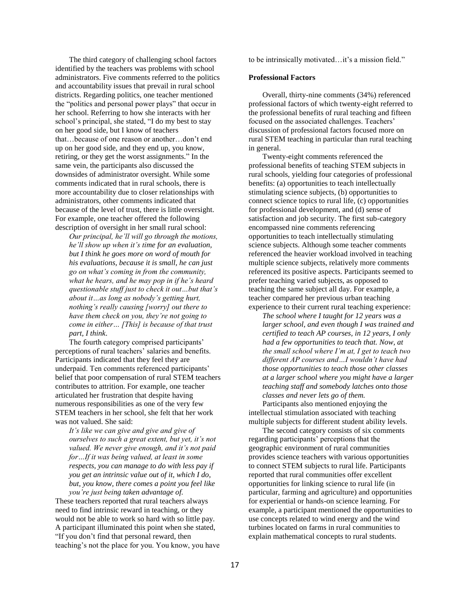The third category of challenging school factors identified by the teachers was problems with school administrators. Five comments referred to the politics and accountability issues that prevail in rural school districts. Regarding politics, one teacher mentioned the "politics and personal power plays" that occur in her school. Referring to how she interacts with her school's principal, she stated, "I do my best to stay on her good side, but I know of teachers that…because of one reason or another…don't end up on her good side, and they end up, you know, retiring, or they get the worst assignments." In the same vein, the participants also discussed the downsides of administrator oversight. While some comments indicated that in rural schools, there is more accountability due to closer relationships with administrators, other comments indicated that because of the level of trust, there is little oversight. For example, one teacher offered the following description of oversight in her small rural school:

*Our principal, he'll will go through the motions, he'll show up when it's time for an evaluation, but I think he goes more on word of mouth for his evaluations, because it is small, he can just go on what's coming in from the community, what he hears, and he may pop in if he's heard questionable stuff just to check it out…but that's about it…as long as nobody's getting hurt, nothing's really causing [worry] out there to have them check on you, they're not going to come in either… [This] is because of that trust part, I think*.

The fourth category comprised participants' perceptions of rural teachers' salaries and benefits. Participants indicated that they feel they are underpaid. Ten comments referenced participants' belief that poor compensation of rural STEM teachers contributes to attrition. For example, one teacher articulated her frustration that despite having numerous responsibilities as one of the very few STEM teachers in her school, she felt that her work was not valued. She said:

*It's like we can give and give and give of ourselves to such a great extent, but yet, it's not valued. We never give enough, and it's not paid for…If it was being valued, at least in some respects, you can manage to do with less pay if you get an intrinsic value out of it, which I do, but, you know, there comes a point you feel like you're just being taken advantage of.*

These teachers reported that rural teachers always need to find intrinsic reward in teaching, or they would not be able to work so hard with so little pay. A participant illuminated this point when she stated, "If you don't find that personal reward, then teaching's not the place for you. You know, you have to be intrinsically motivated…it's a mission field."

#### **Professional Factors**

Overall, thirty-nine comments (34%) referenced professional factors of which twenty-eight referred to the professional benefits of rural teaching and fifteen focused on the associated challenges. Teachers' discussion of professional factors focused more on rural STEM teaching in particular than rural teaching in general.

Twenty-eight comments referenced the professional benefits of teaching STEM subjects in rural schools, yielding four categories of professional benefits: (a) opportunities to teach intellectually stimulating science subjects, (b) opportunities to connect science topics to rural life, (c) opportunities for professional development, and (d) sense of satisfaction and job security. The first sub-category encompassed nine comments referencing opportunities to teach intellectually stimulating science subjects. Although some teacher comments referenced the heavier workload involved in teaching multiple science subjects, relatively more comments referenced its positive aspects. Participants seemed to prefer teaching varied subjects, as opposed to teaching the same subject all day. For example, a teacher compared her previous urban teaching experience to their current rural teaching experience:

*The school where I taught for 12 years was a larger school, and even though I was trained and certified to teach AP courses, in 12 years, I only had a few opportunities to teach that. Now, at the small school where I'm at, I get to teach two different AP courses and…I wouldn't have had those opportunities to teach those other classes at a larger school where you might have a larger teaching staff and somebody latches onto those classes and never lets go of them.*

Participants also mentioned enjoying the intellectual stimulation associated with teaching multiple subjects for different student ability levels.

The second category consists of six comments regarding participants' perceptions that the geographic environment of rural communities provides science teachers with various opportunities to connect STEM subjects to rural life. Participants reported that rural communities offer excellent opportunities for linking science to rural life (in particular, farming and agriculture) and opportunities for experiential or hands-on science learning. For example, a participant mentioned the opportunities to use concepts related to wind energy and the wind turbines located on farms in rural communities to explain mathematical concepts to rural students.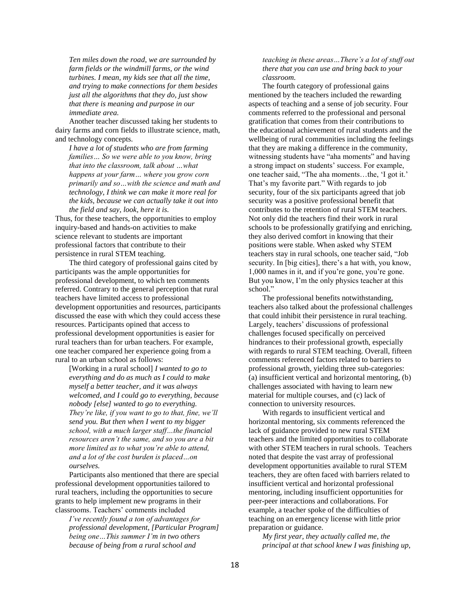*Ten miles down the road, we are surrounded by farm fields or the windmill farms, or the wind turbines. I mean, my kids see that all the time, and trying to make connections for them besides just all the algorithms that they do, just show that there is meaning and purpose in our immediate area.*

Another teacher discussed taking her students to dairy farms and corn fields to illustrate science, math, and technology concepts.

*I have a lot of students who are from farming families… So we were able to you know, bring that into the classroom, talk about …what happens at your farm… where you grow corn primarily and so…with the science and math and technology, I think we can make it more real for the kids, because we can actually take it out into the field and say, look, here it is.*

Thus, for these teachers, the opportunities to employ inquiry-based and hands-on activities to make science relevant to students are important professional factors that contribute to their persistence in rural STEM teaching.

The third category of professional gains cited by participants was the ample opportunities for professional development, to which ten comments referred. Contrary to the general perception that rural teachers have limited access to professional development opportunities and resources, participants discussed the ease with which they could access these resources. Participants opined that access to professional development opportunities is easier for rural teachers than for urban teachers. For example, one teacher compared her experience going from a rural to an urban school as follows:

[Working in a rural school] *I wanted to go to everything and do as much as I could to make myself a better teacher, and it was always welcomed, and I could go to everything, because nobody [else] wanted to go to everything. They're like, if you want to go to that, fine, we'll send you. But then when I went to my bigger school, with a much larger staff…the financial resources aren't the same, and so you are a bit more limited as to what you're able to attend, and a lot of the cost burden is placed…on ourselves.*

Participants also mentioned that there are special professional development opportunities tailored to rural teachers, including the opportunities to secure grants to help implement new programs in their classrooms. Teachers' comments included

*I've recently found a ton of advantages for professional development, [Particular Program] being one…This summer I'm in two others because of being from a rural school and* 

*teaching in these areas…There's a lot of stuff out there that you can use and bring back to your classroom.*

The fourth category of professional gains mentioned by the teachers included the rewarding aspects of teaching and a sense of job security. Four comments referred to the professional and personal gratification that comes from their contributions to the educational achievement of rural students and the wellbeing of rural communities including the feelings that they are making a difference in the community, witnessing students have "aha moments" and having a strong impact on students' success. For example, one teacher said, "The aha moments…the, 'I got it.' That's my favorite part." With regards to job security, four of the six participants agreed that job security was a positive professional benefit that contributes to the retention of rural STEM teachers. Not only did the teachers find their work in rural schools to be professionally gratifying and enriching, they also derived comfort in knowing that their positions were stable. When asked why STEM teachers stay in rural schools, one teacher said, "Job security. In [big cities], there's a hat with, you know, 1,000 names in it, and if you're gone, you're gone. But you know, I'm the only physics teacher at this school."

The professional benefits notwithstanding, teachers also talked about the professional challenges that could inhibit their persistence in rural teaching. Largely, teachers' discussions of professional challenges focused specifically on perceived hindrances to their professional growth, especially with regards to rural STEM teaching. Overall, fifteen comments referenced factors related to barriers to professional growth, yielding three sub-categories: (a) insufficient vertical and horizontal mentoring, (b) challenges associated with having to learn new material for multiple courses, and (c) lack of connection to university resources.

With regards to insufficient vertical and horizontal mentoring, six comments referenced the lack of guidance provided to new rural STEM teachers and the limited opportunities to collaborate with other STEM teachers in rural schools. Teachers noted that despite the vast array of professional development opportunities available to rural STEM teachers, they are often faced with barriers related to insufficient vertical and horizontal professional mentoring, including insufficient opportunities for peer-peer interactions and collaborations. For example, a teacher spoke of the difficulties of teaching on an emergency license with little prior preparation or guidance.

*My first year, they actually called me, the principal at that school knew I was finishing up,*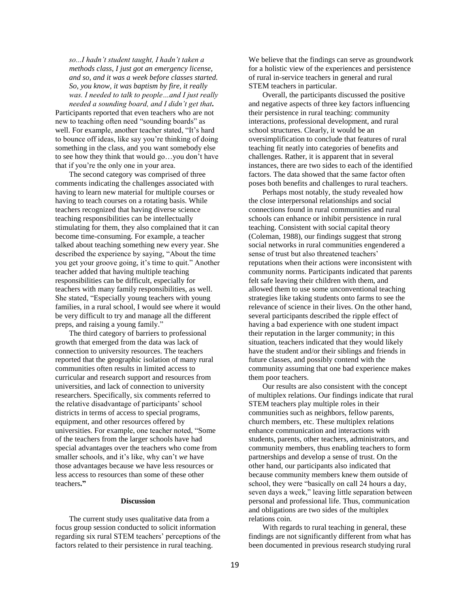*so...I hadn't student taught, I hadn't taken a methods class, I just got an emergency license, and so, and it was a week before classes started. So, you know, it was baptism by fire, it really was. I needed to talk to people…and I just really* 

*needed a sounding board, and I didn't get that.* Participants reported that even teachers who are not new to teaching often need "sounding boards" as well. For example, another teacher stated, "It's hard to bounce off ideas, like say you're thinking of doing something in the class, and you want somebody else to see how they think that would go…you don't have that if you're the only one in your area.

The second category was comprised of three comments indicating the challenges associated with having to learn new material for multiple courses or having to teach courses on a rotating basis. While teachers recognized that having diverse science teaching responsibilities can be intellectually stimulating for them, they also complained that it can become time-consuming. For example, a teacher talked about teaching something new every year. She described the experience by saying, "About the time you get your groove going, it's time to quit." Another teacher added that having multiple teaching responsibilities can be difficult, especially for teachers with many family responsibilities, as well. She stated, "Especially young teachers with young families, in a rural school, I would see where it would be very difficult to try and manage all the different preps, and raising a young family."

The third category of barriers to professional growth that emerged from the data was lack of connection to university resources. The teachers reported that the geographic isolation of many rural communities often results in limited access to curricular and research support and resources from universities, and lack of connection to university researchers. Specifically, six comments referred to the relative disadvantage of participants' school districts in terms of access to special programs, equipment, and other resources offered by universities. For example, one teacher noted, "Some of the teachers from the larger schools have had special advantages over the teachers who come from smaller schools, and it's like, why can't *we* have those advantages because we have less resources or less access to resources than some of these other teachers**."**

#### **Discussion**

The current study uses qualitative data from a focus group session conducted to solicit information regarding six rural STEM teachers' perceptions of the factors related to their persistence in rural teaching.

We believe that the findings can serve as groundwork for a holistic view of the experiences and persistence of rural in-service teachers in general and rural STEM teachers in particular.

Overall, the participants discussed the positive and negative aspects of three key factors influencing their persistence in rural teaching: community interactions, professional development, and rural school structures. Clearly, it would be an oversimplification to conclude that features of rural teaching fit neatly into categories of benefits and challenges. Rather, it is apparent that in several instances, there are two sides to each of the identified factors. The data showed that the same factor often poses both benefits and challenges to rural teachers.

Perhaps most notably, the study revealed how the close interpersonal relationships and social connections found in rural communities and rural schools can enhance or inhibit persistence in rural teaching. Consistent with social capital theory (Coleman, 1988), our findings suggest that strong social networks in rural communities engendered a sense of trust but also threatened teachers' reputations when their actions were inconsistent with community norms. Participants indicated that parents felt safe leaving their children with them, and allowed them to use some unconventional teaching strategies like taking students onto farms to see the relevance of science in their lives. On the other hand, several participants described the ripple effect of having a bad experience with one student impact their reputation in the larger community; in this situation, teachers indicated that they would likely have the student and/or their siblings and friends in future classes, and possibly contend with the community assuming that one bad experience makes them poor teachers.

Our results are also consistent with the concept of multiplex relations. Our findings indicate that rural STEM teachers play multiple roles in their communities such as neighbors, fellow parents, church members, etc. These multiplex relations enhance communication and interactions with students, parents, other teachers, administrators, and community members, thus enabling teachers to form partnerships and develop a sense of trust. On the other hand, our participants also indicated that because community members knew them outside of school, they were "basically on call 24 hours a day, seven days a week," leaving little separation between personal and professional life. Thus, communication and obligations are two sides of the multiplex relations coin.

With regards to rural teaching in general, these findings are not significantly different from what has been documented in previous research studying rural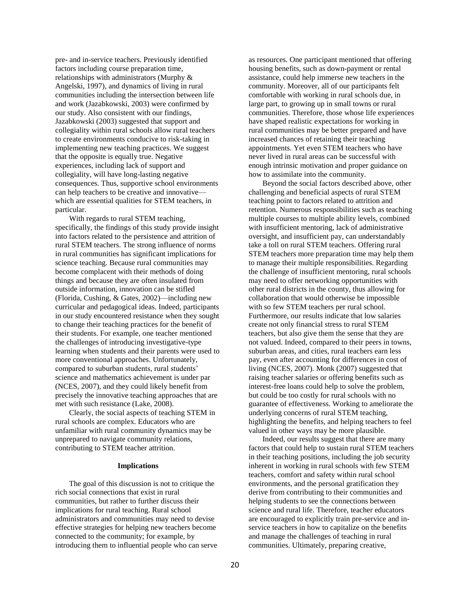pre- and in-service teachers. Previously identified factors including course preparation time, relationships with administrators (Murphy & Angelski, 1997), and dynamics of living in rural communities including the intersection between life and work (Jazabkowski, 2003) were confirmed by our study. Also consistent with our findings, Jazabkowski (2003) suggested that support and collegiality within rural schools allow rural teachers to create environments conducive to risk-taking in implementing new teaching practices. We suggest that the opposite is equally true. Negative experiences, including lack of support and collegiality, will have long-lasting negative consequences. Thus, supportive school environments can help teachers to be creative and innovative which are essential qualities for STEM teachers, in particular.

With regards to rural STEM teaching, specifically, the findings of this study provide insight into factors related to the persistence and attrition of rural STEM teachers. The strong influence of norms in rural communities has significant implications for science teaching. Because rural communities may become complacent with their methods of doing things and because they are often insulated from outside information, innovation can be stifled (Florida, Cushing, & Gates, 2002)—including new curricular and pedagogical ideas. Indeed, participants in our study encountered resistance when they sought to change their teaching practices for the benefit of their students. For example, one teacher mentioned the challenges of introducing investigative-type learning when students and their parents were used to more conventional approaches. Unfortunately, compared to suburban students, rural students' science and mathematics achievement is under par (NCES, 2007), and they could likely benefit from precisely the innovative teaching approaches that are met with such resistance (Lake, 2008).

Clearly, the social aspects of teaching STEM in rural schools are complex. Educators who are unfamiliar with rural community dynamics may be unprepared to navigate community relations, contributing to STEM teacher attrition.

#### **Implications**

The goal of this discussion is not to critique the rich social connections that exist in rural communities, but rather to further discuss their implications for rural teaching. Rural school administrators and communities may need to devise effective strategies for helping new teachers become connected to the community; for example, by introducing them to influential people who can serve

as resources. One participant mentioned that offering housing benefits, such as down-payment or rental assistance, could help immerse new teachers in the community. Moreover, all of our participants felt comfortable with working in rural schools due, in large part, to growing up in small towns or rural communities. Therefore, those whose life experiences have shaped realistic expectations for working in rural communities may be better prepared and have increased chances of retaining their teaching appointments. Yet even STEM teachers who have never lived in rural areas can be successful with enough intrinsic motivation and proper guidance on how to assimilate into the community.

Beyond the social factors described above, other challenging and beneficial aspects of rural STEM teaching point to factors related to attrition and retention. Numerous responsibilities such as teaching multiple courses to multiple ability levels, combined with insufficient mentoring, lack of administrative oversight, and insufficient pay, can understandably take a toll on rural STEM teachers. Offering rural STEM teachers more preparation time may help them to manage their multiple responsibilities. Regarding the challenge of insufficient mentoring, rural schools may need to offer networking opportunities with other rural districts in the county, thus allowing for collaboration that would otherwise be impossible with so few STEM teachers per rural school. Furthermore, our results indicate that low salaries create not only financial stress to rural STEM teachers, but also give them the sense that they are not valued. Indeed, compared to their peers in towns, suburban areas, and cities, rural teachers earn less pay, even after accounting for differences in cost of living (NCES, 2007). Monk (2007) suggested that raising teacher salaries or offering benefits such as interest-free loans could help to solve the problem, but could be too costly for rural schools with no guarantee of effectiveness. Working to ameliorate the underlying concerns of rural STEM teaching, highlighting the benefits, and helping teachers to feel valued in other ways may be more plausible.

Indeed, our results suggest that there are many factors that could help to sustain rural STEM teachers in their teaching positions, including the job security inherent in working in rural schools with few STEM teachers, comfort and safety within rural school environments, and the personal gratification they derive from contributing to their communities and helping students to see the connections between science and rural life. Therefore, teacher educators are encouraged to explicitly train pre-service and inservice teachers in how to capitalize on the benefits and manage the challenges of teaching in rural communities. Ultimately, preparing creative,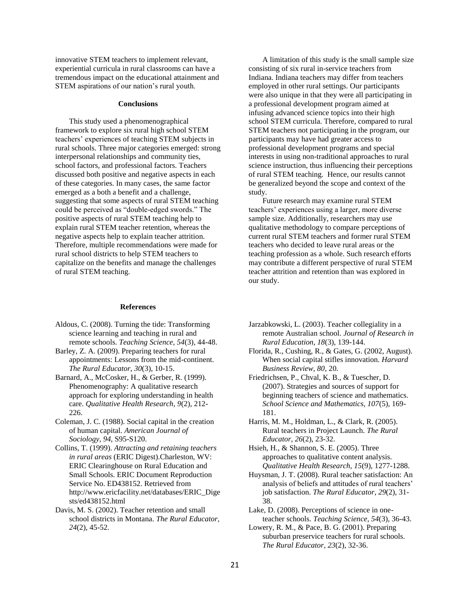innovative STEM teachers to implement relevant, experiential curricula in rural classrooms can have a tremendous impact on the educational attainment and STEM aspirations of our nation's rural youth.

#### **Conclusions**

This study used a phenomenographical framework to explore six rural high school STEM teachers' experiences of teaching STEM subjects in rural schools. Three major categories emerged: strong interpersonal relationships and community ties, school factors, and professional factors. Teachers discussed both positive and negative aspects in each of these categories. In many cases, the same factor emerged as a both a benefit and a challenge, suggesting that some aspects of rural STEM teaching could be perceived as "double-edged swords." The positive aspects of rural STEM teaching help to explain rural STEM teacher retention, whereas the negative aspects help to explain teacher attrition. Therefore, multiple recommendations were made for rural school districts to help STEM teachers to capitalize on the benefits and manage the challenges of rural STEM teaching.

#### **References**

- Aldous, C. (2008). Turning the tide: Transforming science learning and teaching in rural and remote schools. *Teaching Science, 54*(3)*,* 44-48.
- Barley, Z. A. (2009). Preparing teachers for rural appointments: Lessons from the mid-continent. *The Rural Educator, 30*(3), 10-15.
- Barnard, A., McCosker, H., & Gerber, R. (1999). Phenomenography: A qualitative research approach for exploring understanding in health care. *Qualitative Health Research, 9*(2), 212- 226.
- Coleman, J. C. (1988). Social capital in the creation of human capital. *American Journal of Sociology, 94*, S95-S120.
- Collins, T. (1999). *Attracting and retaining teachers in rural areas* (ERIC Digest).Charleston, WV: ERIC Clearinghouse on Rural Education and Small Schools. ERIC Document Reproduction Service No. ED438152. Retrieved from http://www.ericfacility.net/databases/ERIC\_Dige sts/ed438152.html
- Davis, M. S. (2002). Teacher retention and small school districts in Montana. *The Rural Educator, 24*(2), 45-52.

A limitation of this study is the small sample size consisting of six rural in-service teachers from Indiana. Indiana teachers may differ from teachers employed in other rural settings. Our participants were also unique in that they were all participating in a professional development program aimed at infusing advanced science topics into their high school STEM curricula. Therefore, compared to rural STEM teachers not participating in the program, our participants may have had greater access to professional development programs and special interests in using non-traditional approaches to rural science instruction, thus influencing their perceptions of rural STEM teaching. Hence, our results cannot be generalized beyond the scope and context of the study.

Future research may examine rural STEM teachers' experiences using a larger, more diverse sample size. Additionally, researchers may use qualitative methodology to compare perceptions of current rural STEM teachers and former rural STEM teachers who decided to leave rural areas or the teaching profession as a whole. Such research efforts may contribute a different perspective of rural STEM teacher attrition and retention than was explored in our study.

- Jarzabkowski, L. (2003). Teacher collegiality in a remote Australian school. *Journal of Research in Rural Education, 18*(3)*,* 139-144.
- Florida, R., Cushing, R., & Gates, G. (2002, August). When social capital stifles innovation. *Harvard Business Review, 80,* 20*.*
- Friedrichsen, P., Chval, K. B., & Tuescher, D. (2007). Strategies and sources of support for beginning teachers of science and mathematics. *School Science and Mathematics, 107*(5), 169- 181.
- Harris, M. M., Holdman, L., & Clark, R. (2005). Rural teachers in Project Launch. *The Rural Educator, 26*(2), 23-32.

Hsieh, H., & Shannon, S. E. (2005). Three approaches to qualitative content analysis. *Qualitative Health Research, 15*(9)*,* 1277-1288.

- Huysman, J. T. (2008). Rural teacher satisfaction: An analysis of beliefs and attitudes of rural teachers' job satisfaction. *The Rural Educator*, *29*(2)*,* 31- 38.
- Lake, D. (2008). Perceptions of science in oneteacher schools. *Teaching Science, 54*(3)*,* 36-43.
- Lowery, R. M., & Pace, B. G. (2001). Preparing suburban preservice teachers for rural schools. *The Rural Educator, 23*(2), 32-36.